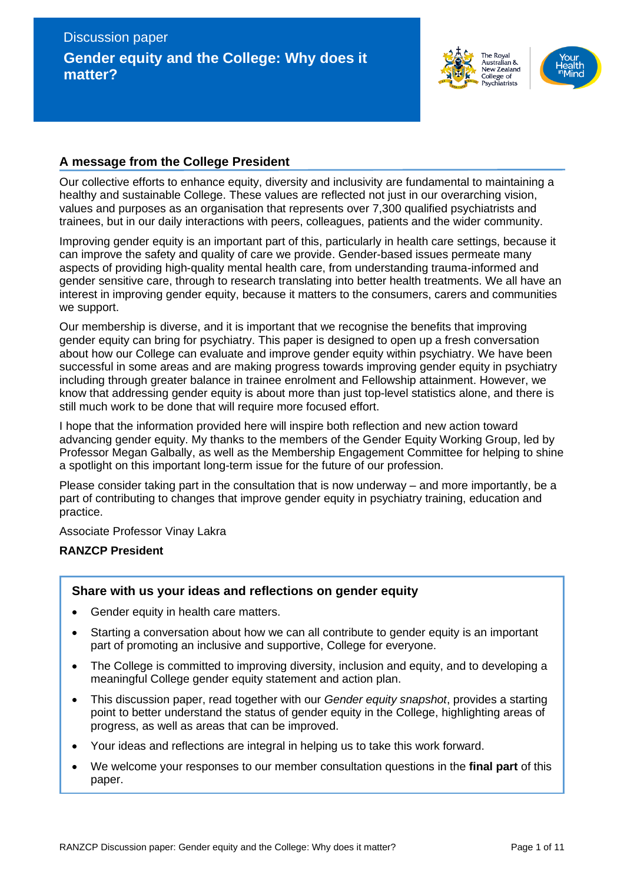



## **A message from the College President**

Our collective efforts to enhance equity, diversity and inclusivity are fundamental to maintaining a healthy and sustainable College. These values are reflected not just in our overarching vision, values and purposes as an organisation that represents over 7,300 qualified psychiatrists and trainees, but in our daily interactions with peers, colleagues, patients and the wider community.

Improving gender equity is an important part of this, particularly in health care settings, because it can improve the safety and quality of care we provide. Gender-based issues permeate many aspects of providing high-quality mental health care, from understanding trauma-informed and gender sensitive care, through to research translating into better health treatments. We all have an interest in improving gender equity, because it matters to the consumers, carers and communities we support.

Our membership is diverse, and it is important that we recognise the benefits that improving gender equity can bring for psychiatry. This paper is designed to open up a fresh conversation about how our College can evaluate and improve gender equity within psychiatry. We have been successful in some areas and are making progress towards improving gender equity in psychiatry including through greater balance in trainee enrolment and Fellowship attainment. However, we know that addressing gender equity is about more than just top-level statistics alone, and there is still much work to be done that will require more focused effort.

I hope that the information provided here will inspire both reflection and new action toward advancing gender equity. My thanks to the members of the Gender Equity Working Group, led by Professor Megan Galbally, as well as the Membership Engagement Committee for helping to shine a spotlight on this important long-term issue for the future of our profession.

Please consider taking part in the consultation that is now underway – and more importantly, be a part of contributing to changes that improve gender equity in psychiatry training, education and practice.

Associate Professor Vinay Lakra

### **RANZCP President**

### **Share with us your ideas and reflections on gender equity**

- Gender equity in health care matters.
- Starting a conversation about how we can all contribute to gender equity is an important part of promoting an inclusive and supportive, College for everyone.
- The College is committed to improving diversity, inclusion and equity, and to developing a meaningful College gender equity statement and action plan.
- This discussion paper, read together with our *Gender equity snapshot*, provides a starting point to better understand the status of gender equity in the College, highlighting areas of progress, as well as areas that can be improved.
- Your ideas and reflections are integral in helping us to take this work forward.
- We welcome your responses to our member consultation questions in the **final part** of this paper.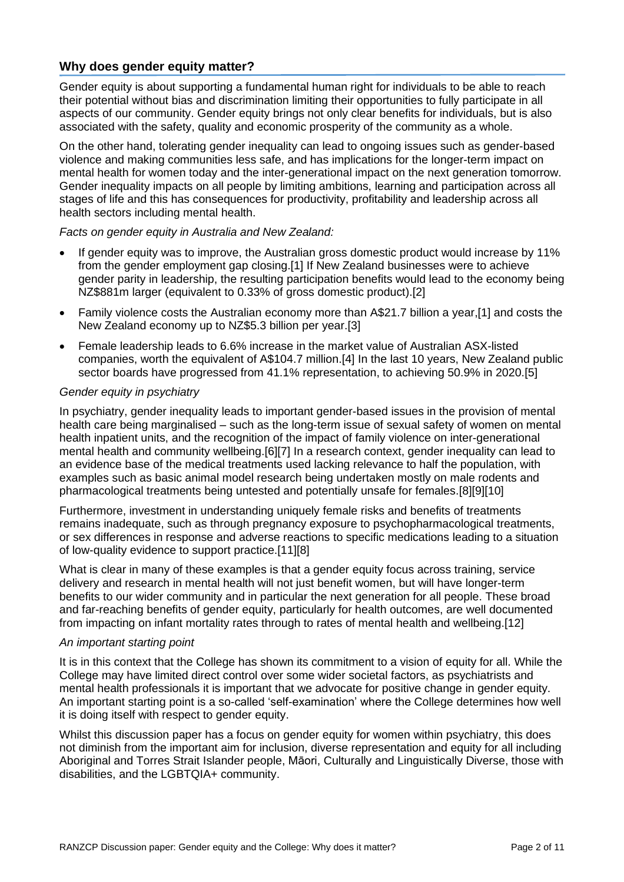# **Why does gender equity matter?**

Gender equity is about supporting a fundamental human right for individuals to be able to reach their potential without bias and discrimination limiting their opportunities to fully participate in all aspects of our community. Gender equity brings not only clear benefits for individuals, but is also associated with the safety, quality and economic prosperity of the community as a whole.

On the other hand, tolerating gender inequality can lead to ongoing issues such as gender-based violence and making communities less safe, and has implications for the longer-term impact on mental health for women today and the inter-generational impact on the next generation tomorrow. Gender inequality impacts on all people by limiting ambitions, learning and participation across all stages of life and this has consequences for productivity, profitability and leadership across all health sectors including mental health.

### *Facts on gender equity in Australia and New Zealand:*

- If gender equity was to improve, the Australian gross domestic product would increase by 11% from the gender employment gap closing.[1] If New Zealand businesses were to achieve gender parity in leadership, the resulting participation benefits would lead to the economy being NZ\$881m larger (equivalent to 0.33% of gross domestic product).[2]
- Family violence costs the Australian economy more than A\$21.7 billion a year,[1] and costs the New Zealand economy up to NZ\$5.3 billion per year.[3]
- Female leadership leads to 6.6% increase in the market value of Australian ASX-listed companies, worth the equivalent of A\$104.7 million.[4] In the last 10 years, New Zealand public sector boards have progressed from 41.1% representation, to achieving 50.9% in 2020.[5]

### *Gender equity in psychiatry*

In psychiatry, gender inequality leads to important gender-based issues in the provision of mental health care being marginalised – such as the long-term issue of sexual safety of women on mental health inpatient units, and the recognition of the impact of family violence on inter-generational mental health and community wellbeing.[6][7] In a research context, gender inequality can lead to an evidence base of the medical treatments used lacking relevance to half the population, with examples such as basic animal model research being undertaken mostly on male rodents and pharmacological treatments being untested and potentially unsafe for females.[8][9][10]

Furthermore, investment in understanding uniquely female risks and benefits of treatments remains inadequate, such as through pregnancy exposure to psychopharmacological treatments, or sex differences in response and adverse reactions to specific medications leading to a situation of low-quality evidence to support practice.[11][8]

What is clear in many of these examples is that a gender equity focus across training, service delivery and research in mental health will not just benefit women, but will have longer-term benefits to our wider community and in particular the next generation for all people. These broad and far-reaching benefits of gender equity, particularly for health outcomes, are well documented from impacting on infant mortality rates through to rates of mental health and wellbeing.[12]

#### *An important starting point*

It is in this context that the College has shown its commitment to a vision of equity for all. While the College may have limited direct control over some wider societal factors, as psychiatrists and mental health professionals it is important that we advocate for positive change in gender equity. An important starting point is a so-called 'self-examination' where the College determines how well it is doing itself with respect to gender equity.

Whilst this discussion paper has a focus on gender equity for women within psychiatry, this does not diminish from the important aim for inclusion, diverse representation and equity for all including Aboriginal and Torres Strait Islander people, Māori, Culturally and Linguistically Diverse, those with disabilities, and the LGBTQIA+ community.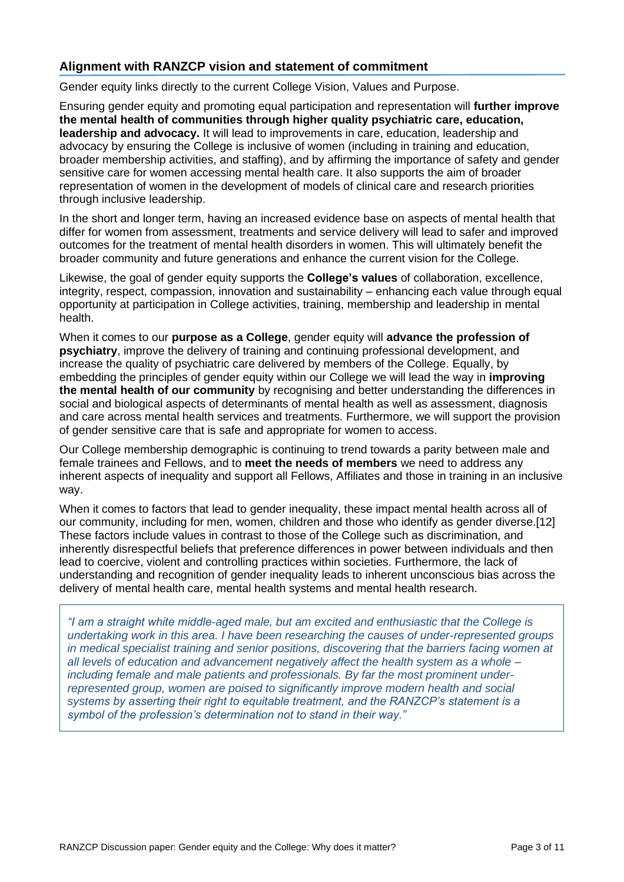# **Alignment with RANZCP vision and statement of commitment**

Gender equity links directly to the current College Vision, Values and Purpose.

Ensuring gender equity and promoting equal participation and representation will **further improve the mental health of communities through higher quality psychiatric care, education, leadership and advocacy.** It will lead to improvements in care, education, leadership and advocacy by ensuring the College is inclusive of women (including in training and education, broader membership activities, and staffing), and by affirming the importance of safety and gender sensitive care for women accessing mental health care. It also supports the aim of broader representation of women in the development of models of clinical care and research priorities through inclusive leadership.

In the short and longer term, having an increased evidence base on aspects of mental health that differ for women from assessment, treatments and service delivery will lead to safer and improved outcomes for the treatment of mental health disorders in women. This will ultimately benefit the broader community and future generations and enhance the current vision for the College.

Likewise, the goal of gender equity supports the **College's values** of collaboration, excellence, integrity, respect, compassion, innovation and sustainability – enhancing each value through equal opportunity at participation in College activities, training, membership and leadership in mental health.

When it comes to our **purpose as a College**, gender equity will **advance the profession of psychiatry**, improve the delivery of training and continuing professional development, and increase the quality of psychiatric care delivered by members of the College. Equally, by embedding the principles of gender equity within our College we will lead the way in **improving the mental health of our community** by recognising and better understanding the differences in social and biological aspects of determinants of mental health as well as assessment, diagnosis and care across mental health services and treatments. Furthermore, we will support the provision of gender sensitive care that is safe and appropriate for women to access.

Our College membership demographic is continuing to trend towards a parity between male and female trainees and Fellows, and to **meet the needs of members** we need to address any inherent aspects of inequality and support all Fellows, Affiliates and those in training in an inclusive way.

When it comes to factors that lead to gender inequality, these impact mental health across all of our community, including for men, women, children and those who identify as gender diverse.[12] These factors include values in contrast to those of the College such as discrimination, and inherently disrespectful beliefs that preference differences in power between individuals and then lead to coercive, violent and controlling practices within societies. Furthermore, the lack of understanding and recognition of gender inequality leads to inherent unconscious bias across the delivery of mental health care, mental health systems and mental health research.

*"I am a straight white middle-aged male, but am excited and enthusiastic that the College is undertaking work in this area. I have been researching the causes of under-represented groups in medical specialist training and senior positions, discovering that the barriers facing women at all levels of education and advancement negatively affect the health system as a whole – including female and male patients and professionals. By far the most prominent underrepresented group, women are poised to significantly improve modern health and social systems by asserting their right to equitable treatment, and the RANZCP's statement is a symbol of the profession's determination not to stand in their way."*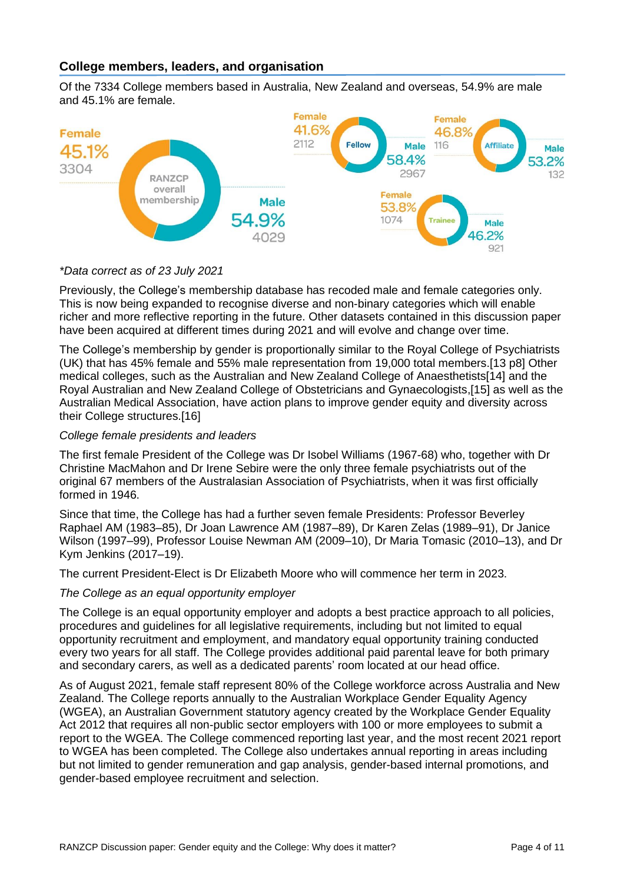## **College members, leaders, and organisation**

Of the 7334 College members based in Australia, New Zealand and overseas, 54.9% are male and 45.1% are female.



#### *\*Data correct as of 23 July 2021*

Previously, the College's membership database has recoded male and female categories only. This is now being expanded to recognise diverse and non-binary categories which will enable richer and more reflective reporting in the future. Other datasets contained in this discussion paper have been acquired at different times during 2021 and will evolve and change over time.

The College's membership by gender is proportionally similar to the Royal College of Psychiatrists (UK) that has 45% female and 55% male representation from 19,000 total members.[13 p8] Other medical colleges, such as the Australian and New Zealand College of Anaesthetists[14] and the Royal Australian and New Zealand College of Obstetricians and Gynaecologists,[15] as well as the Australian Medical Association, have action plans to improve gender equity and diversity across their College structures.[16]

#### *College female presidents and leaders*

The first female President of the College was Dr Isobel Williams (1967-68) who, together with Dr Christine MacMahon and Dr Irene Sebire were the only three female psychiatrists out of the original 67 members of the Australasian Association of Psychiatrists, when it was first officially formed in 1946.

Since that time, the College has had a further seven female Presidents: Professor Beverley Raphael AM (1983–85), Dr Joan Lawrence AM (1987–89), Dr Karen Zelas (1989–91), Dr Janice Wilson (1997–99), Professor Louise Newman AM (2009–10), Dr Maria Tomasic (2010–13), and Dr Kym Jenkins (2017–19).

The current President-Elect is Dr Elizabeth Moore who will commence her term in 2023.

### *The College as an equal opportunity employer*

The College is an equal opportunity employer and adopts a best practice approach to all policies, procedures and guidelines for all legislative requirements, including but not limited to equal opportunity recruitment and employment, and mandatory equal opportunity training conducted every two years for all staff. The College provides additional paid parental leave for both primary and secondary carers, as well as a dedicated parents' room located at our head office.

As of August 2021, female staff represent 80% of the College workforce across Australia and New Zealand. The College reports annually to the Australian Workplace Gender Equality Agency (WGEA), an Australian Government statutory agency created by the Workplace Gender Equality Act 2012 that requires all non-public sector employers with 100 or more employees to submit a report to the WGEA. The College commenced reporting last year, and the most recent 2021 report to WGEA has been completed. The College also undertakes annual reporting in areas including but not limited to gender remuneration and gap analysis, gender-based internal promotions, and gender-based employee recruitment and selection.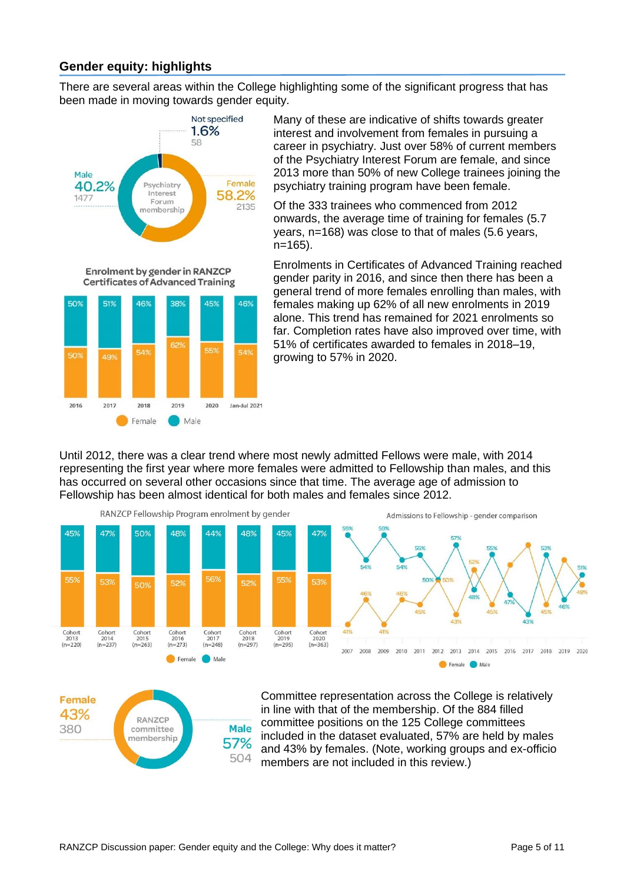# **Gender equity: highlights**

There are several areas within the College highlighting some of the significant progress that has been made in moving towards gender equity.



Enrolment by gender in RANZCP **Certificates of Advanced Training** 



Many of these are indicative of shifts towards greater interest and involvement from females in pursuing a career in psychiatry. Just over 58% of current members of the Psychiatry Interest Forum are female, and since 2013 more than 50% of new College trainees joining the psychiatry training program have been female.

Of the 333 trainees who commenced from 2012 onwards, the average time of training for females (5.7 years, n=168) was close to that of males (5.6 years, n=165).

Enrolments in Certificates of Advanced Training reached gender parity in 2016, and since then there has been a general trend of more females enrolling than males, with females making up 62% of all new enrolments in 2019 alone. This trend has remained for 2021 enrolments so far. Completion rates have also improved over time, with 51% of certificates awarded to females in 2018–19, growing to 57% in 2020.

Until 2012, there was a clear trend where most newly admitted Fellows were male, with 2014 representing the first year where more females were admitted to Fellowship than males, and this has occurred on several other occasions since that time. The average age of admission to Fellowship has been almost identical for both males and females since 2012.





Committee representation across the College is relatively in line with that of the membership. Of the 884 filled committee positions on the 125 College committees included in the dataset evaluated, 57% are held by males and 43% by females. (Note, working groups and ex-officio members are not included in this review.)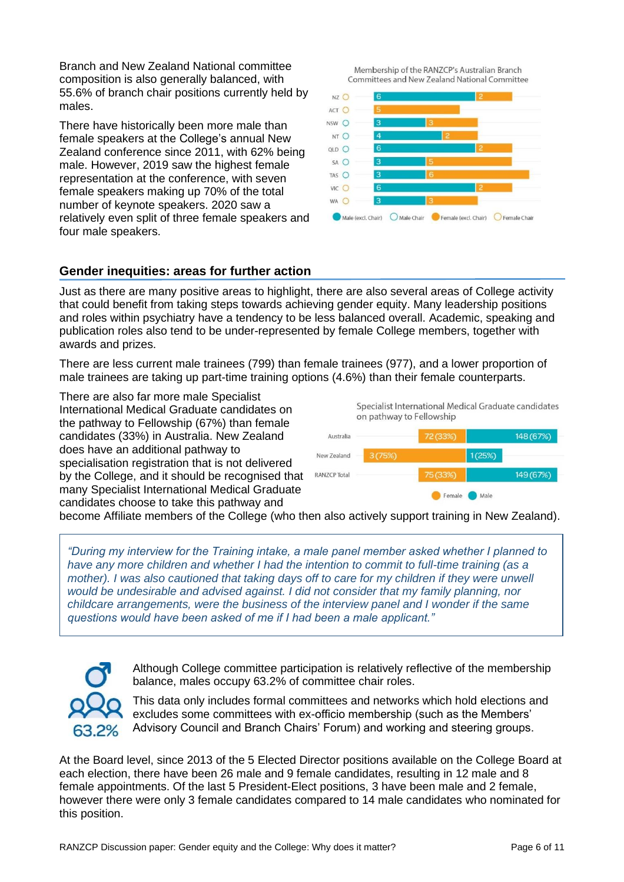Branch and New Zealand National committee composition is also generally balanced, with 55.6% of branch chair positions currently held by males.

There have historically been more male than female speakers at the College's annual New Zealand conference since 2011, with 62% being male. However, 2019 saw the highest female representation at the conference, with seven female speakers making up 70% of the total number of keynote speakers. 2020 saw a relatively even split of three female speakers and four male speakers.

Membership of the RANZCP's Australian Branch Committees and New Zealand National Committee



# **Gender inequities: areas for further action**

Just as there are many positive areas to highlight, there are also several areas of College activity that could benefit from taking steps towards achieving gender equity. Many leadership positions and roles within psychiatry have a tendency to be less balanced overall. Academic, speaking and publication roles also tend to be under-represented by female College members, together with awards and prizes.

There are less current male trainees (799) than female trainees (977), and a lower proportion of male trainees are taking up part-time training options (4.6%) than their female counterparts.

There are also far more male Specialist International Medical Graduate candidates on the pathway to Fellowship (67%) than female candidates (33%) in Australia. New Zealand does have an additional pathway to specialisation registration that is not delivered by the College, and it should be recognised that many Specialist International Medical Graduate candidates choose to take this pathway and





become Affiliate members of the College (who then also actively support training in New Zealand).

*"During my interview for the Training intake, a male panel member asked whether I planned to have any more children and whether I had the intention to commit to full-time training (as a mother). I was also cautioned that taking days off to care for my children if they were unwell would be undesirable and advised against. I did not consider that my family planning, nor childcare arrangements, were the business of the interview panel and I wonder if the same questions would have been asked of me if I had been a male applicant."*



Although College committee participation is relatively reflective of the membership balance, males occupy 63.2% of committee chair roles.

This data only includes formal committees and networks which hold elections and excludes some committees with ex-officio membership (such as the Members' Advisory Council and Branch Chairs' Forum) and working and steering groups.

At the Board level, since 2013 of the 5 Elected Director positions available on the College Board at each election, there have been 26 male and 9 female candidates, resulting in 12 male and 8 female appointments. Of the last 5 President-Elect positions, 3 have been male and 2 female, however there were only 3 female candidates compared to 14 male candidates who nominated for this position.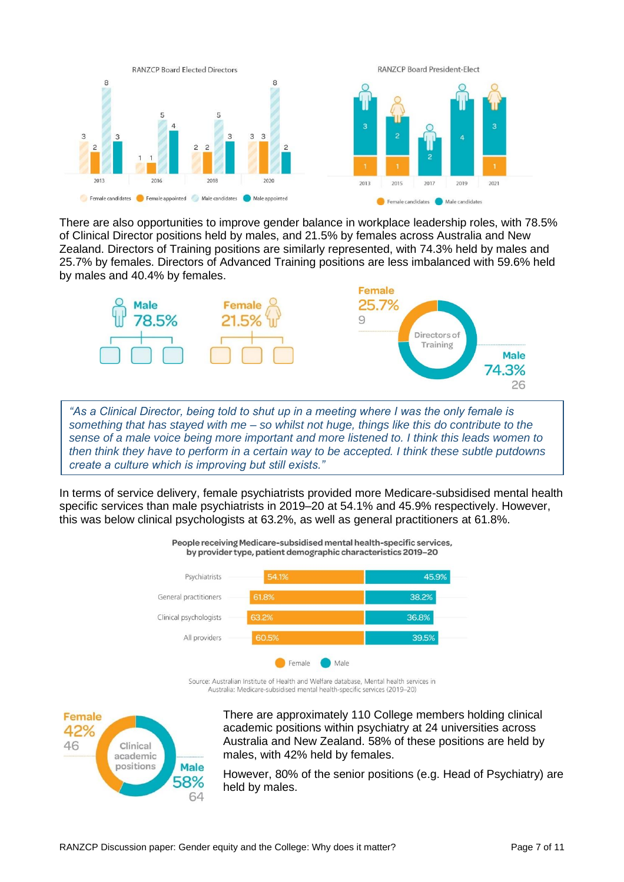

There are also opportunities to improve gender balance in workplace leadership roles, with 78.5% of Clinical Director positions held by males, and 21.5% by females across Australia and New Zealand. Directors of Training positions are similarly represented, with 74.3% held by males and 25.7% by females. Directors of Advanced Training positions are less imbalanced with 59.6% held by males and 40.4% by females.



*"As a Clinical Director, being told to shut up in a meeting where I was the only female is something that has stayed with me – so whilst not huge, things like this do contribute to the sense of a male voice being more important and more listened to. I think this leads women to then think they have to perform in a certain way to be accepted. I think these subtle putdowns create a culture which is improving but still exists."*

In terms of service delivery, female psychiatrists provided more Medicare-subsidised mental health specific services than male psychiatrists in 2019–20 at 54.1% and 45.9% respectively. However, this was below clinical psychologists at 63.2%, as well as general practitioners at 61.8%.



People receiving Medicare-subsidised mental health-specific services. by provider type, patient demographic characteristics 2019-20

Source: Australian Institute of Health and Welfare database, Mental health services in Australia: Medicare-subsidised mental health-specific services (2019-20)



There are approximately 110 College members holding clinical academic positions within psychiatry at 24 universities across Australia and New Zealand. 58% of these positions are held by males, with 42% held by females.

However, 80% of the senior positions (e.g. Head of Psychiatry) are held by males.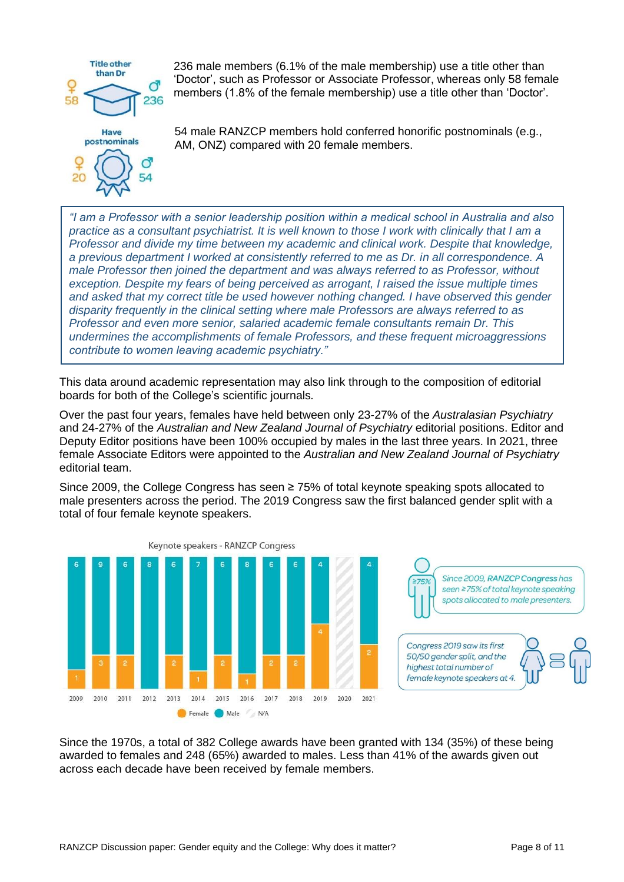

236 male members (6.1% of the male membership) use a title other than 'Doctor', such as Professor or Associate Professor, whereas only 58 female members (1.8% of the female membership) use a title other than 'Doctor'.



54 male RANZCP members hold conferred honorific postnominals (e.g., AM, ONZ) compared with 20 female members.

*"I am a Professor with a senior leadership position within a medical school in Australia and also practice as a consultant psychiatrist. It is well known to those I work with clinically that I am a Professor and divide my time between my academic and clinical work. Despite that knowledge, a previous department I worked at consistently referred to me as Dr. in all correspondence. A male Professor then joined the department and was always referred to as Professor, without exception. Despite my fears of being perceived as arrogant, I raised the issue multiple times and asked that my correct title be used however nothing changed. I have observed this gender disparity frequently in the clinical setting where male Professors are always referred to as Professor and even more senior, salaried academic female consultants remain Dr. This undermines the accomplishments of female Professors, and these frequent microaggressions contribute to women leaving academic psychiatry."*

This data around academic representation may also link through to the composition of editorial boards for both of the College's scientific journals*.* 

Over the past four years, females have held between only 23-27% of the *Australasian Psychiatry* and 24-27% of the *Australian and New Zealand Journal of Psychiatry* editorial positions. Editor and Deputy Editor positions have been 100% occupied by males in the last three years. In 2021, three female Associate Editors were appointed to the *Australian and New Zealand Journal of Psychiatry*  editorial team.

Since 2009, the College Congress has seen ≥ 75% of total keynote speaking spots allocated to male presenters across the period. The 2019 Congress saw the first balanced gender split with a total of four female keynote speakers.





Since the 1970s, a total of 382 College awards have been granted with 134 (35%) of these being awarded to females and 248 (65%) awarded to males. Less than 41% of the awards given out across each decade have been received by female members.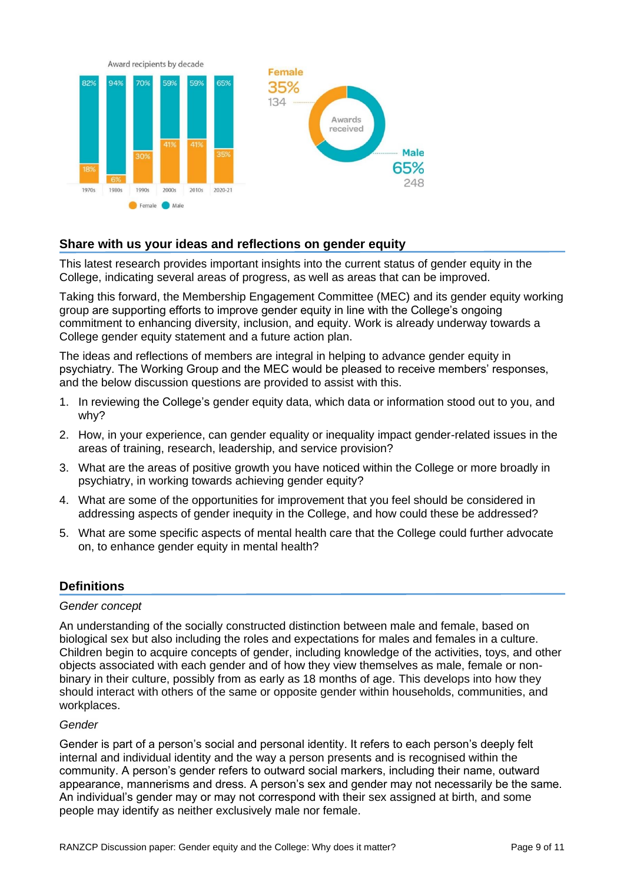

# **Share with us your ideas and reflections on gender equity**

This latest research provides important insights into the current status of gender equity in the College, indicating several areas of progress, as well as areas that can be improved.

Taking this forward, the Membership Engagement Committee (MEC) and its gender equity working group are supporting efforts to improve gender equity in line with the College's ongoing commitment to enhancing diversity, inclusion, and equity. Work is already underway towards a College gender equity statement and a future action plan.

The ideas and reflections of members are integral in helping to advance gender equity in psychiatry. The Working Group and the MEC would be pleased to receive members' responses, and the below discussion questions are provided to assist with this.

- 1. In reviewing the College's gender equity data, which data or information stood out to you, and why?
- 2. How, in your experience, can gender equality or inequality impact gender-related issues in the areas of training, research, leadership, and service provision?
- 3. What are the areas of positive growth you have noticed within the College or more broadly in psychiatry, in working towards achieving gender equity?
- 4. What are some of the opportunities for improvement that you feel should be considered in addressing aspects of gender inequity in the College, and how could these be addressed?
- 5. What are some specific aspects of mental health care that the College could further advocate on, to enhance gender equity in mental health?

### **Definitions**

#### *Gender concept*

An understanding of the socially constructed distinction between male and female, based on biological sex but also including the roles and expectations for males and females in a culture. Children begin to acquire concepts of gender, including knowledge of the activities, toys, and other objects associated with each gender and of how they view themselves as male, female or nonbinary in their culture, possibly from as early as 18 months of age. This develops into how they should interact with others of the same or opposite gender within households, communities, and workplaces.

#### *Gender*

Gender is part of a person's social and personal identity. It refers to each person's deeply felt internal and individual identity and the way a person presents and is recognised within the community. A person's gender refers to outward social markers, including their name, outward appearance, mannerisms and dress. A person's sex and gender may not necessarily be the same. An individual's gender may or may not correspond with their sex assigned at birth, and some people may identify as neither exclusively male nor female.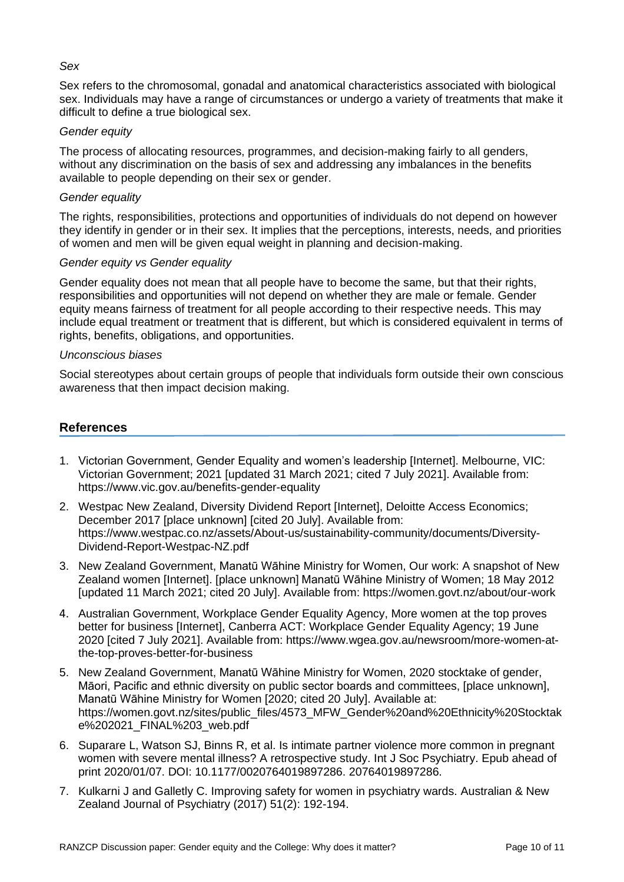#### *Sex*

Sex refers to the chromosomal, gonadal and anatomical characteristics associated with biological sex. Individuals may have a range of circumstances or undergo a variety of treatments that make it difficult to define a true biological sex.

### *Gender equity*

The process of allocating resources, programmes, and decision-making fairly to all genders, without any discrimination on the basis of sex and addressing any imbalances in the benefits available to people depending on their sex or gender.

## *Gender equality*

The rights, responsibilities, protections and opportunities of individuals do not depend on however they identify in gender or in their sex. It implies that the perceptions, interests, needs, and priorities of women and men will be given equal weight in planning and decision-making.

## *Gender equity vs Gender equality*

Gender equality does not mean that all people have to become the same, but that their rights, responsibilities and opportunities will not depend on whether they are male or female. Gender equity means fairness of treatment for all people according to their respective needs. This may include equal treatment or treatment that is different, but which is considered equivalent in terms of rights, benefits, obligations, and opportunities.

### *Unconscious biases*

Social stereotypes about certain groups of people that individuals form outside their own conscious awareness that then impact decision making.

## **References**

- 1. Victorian Government, Gender Equality and women's leadership [Internet]. Melbourne, VIC: Victorian Government; 2021 [updated 31 March 2021; cited 7 July 2021]. Available from: https://www.vic.gov.au/benefits-gender-equality
- 2. Westpac New Zealand, Diversity Dividend Report [Internet], Deloitte Access Economics; December 2017 [place unknown] [cited 20 July]. Available from: https://www.westpac.co.nz/assets/About-us/sustainability-community/documents/Diversity-Dividend-Report-Westpac-NZ.pdf
- 3. New Zealand Government, Manatū Wāhine Ministry for Women, Our work: A snapshot of New Zealand women [Internet]. [place unknown] Manatū Wāhine Ministry of Women; 18 May 2012 [updated 11 March 2021; cited 20 July]. Available from: https://women.govt.nz/about/our-work
- 4. Australian Government, Workplace Gender Equality Agency, More women at the top proves better for business [Internet], Canberra ACT: Workplace Gender Equality Agency; 19 June 2020 [cited 7 July 2021]. Available from: https://www.wgea.gov.au/newsroom/more-women-atthe-top-proves-better-for-business
- 5. New Zealand Government, Manatū Wāhine Ministry for Women, 2020 stocktake of gender, Māori, Pacific and ethnic diversity on public sector boards and committees, [place unknown], Manatū Wāhine Ministry for Women [2020; cited 20 July]. Available at: https://women.govt.nz/sites/public\_files/4573\_MFW\_Gender%20and%20Ethnicity%20Stocktak e%202021\_FINAL%203\_web.pdf
- 6. Suparare L, Watson SJ, Binns R, et al. Is intimate partner violence more common in pregnant women with severe mental illness? A retrospective study. Int J Soc Psychiatry. Epub ahead of print 2020/01/07. DOI: 10.1177/0020764019897286. 20764019897286.
- 7. Kulkarni J and Galletly C. Improving safety for women in psychiatry wards. Australian & New Zealand Journal of Psychiatry (2017) 51(2): 192-194.